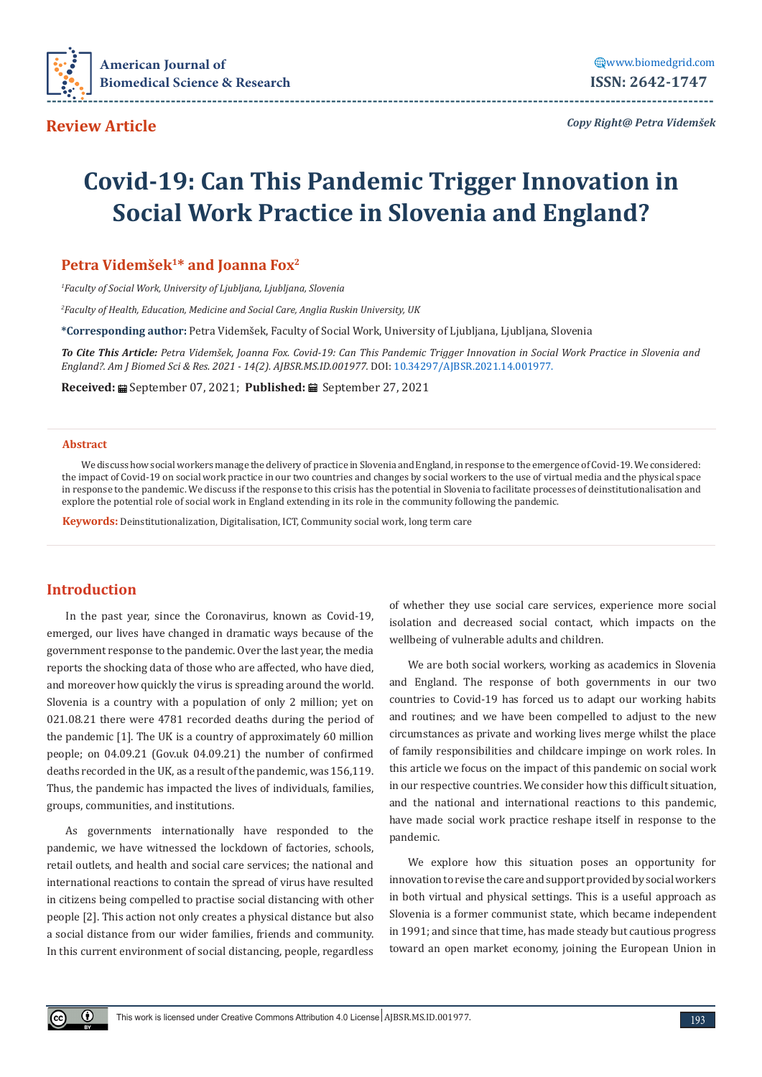

*Copy Right@ Petra Videmšek*

# **Covid-19: Can This Pandemic Trigger Innovation in Social Work Practice in Slovenia and England?**

# **Petra Videmšek1\* and Joanna Fox2**

*1 Faculty of Social Work, University of Ljubljana, Ljubljana, Slovenia*

*2 Faculty of Health, Education, Medicine and Social Care, Anglia Ruskin University, UK*

**\*Corresponding author:** Petra Videmšek, Faculty of Social Work, University of Ljubljana, Ljubljana, Slovenia

*To Cite This Article: Petra Videmšek, Joanna Fox. Covid-19: Can This Pandemic Trigger Innovation in Social Work Practice in Slovenia and England?. Am J Biomed Sci & Res. 2021 - 14(2). AJBSR.MS.ID.001977.* DOI: [10.34297/AJBSR.2021.14.001977](http://dx.doi.org/10.34297/AJBSR.2021.14.001977).

**Received:** September 07, 2021; **Published:** September 27, 2021

#### **Abstract**

We discuss how social workers manage the delivery of practice in Slovenia and England, in response to the emergence of Covid-19. We considered: the impact of Covid-19 on social work practice in our two countries and changes by social workers to the use of virtual media and the physical space in response to the pandemic. We discuss if the response to this crisis has the potential in Slovenia to facilitate processes of deinstitutionalisation and explore the potential role of social work in England extending in its role in the community following the pandemic.

**Keywords:** Deinstitutionalization, Digitalisation, ICT, Community social work, long term care

# **Introduction**

 $\bigcirc$ 

In the past year, since the Coronavirus, known as Covid-19, emerged, our lives have changed in dramatic ways because of the government response to the pandemic. Over the last year, the media reports the shocking data of those who are affected, who have died, and moreover how quickly the virus is spreading around the world. Slovenia is a country with a population of only 2 million; yet on 021.08.21 there were 4781 recorded deaths during the period of the pandemic [1]. The UK is a country of approximately 60 million people; on 04.09.21 (Gov.uk 04.09.21) the number of confirmed deaths recorded in the UK, as a result of the pandemic, was 156,119. Thus, the pandemic has impacted the lives of individuals, families, groups, communities, and institutions.

As governments internationally have responded to the pandemic, we have witnessed the lockdown of factories, schools, retail outlets, and health and social care services; the national and international reactions to contain the spread of virus have resulted in citizens being compelled to practise social distancing with other people [2]. This action not only creates a physical distance but also a social distance from our wider families, friends and community. In this current environment of social distancing, people, regardless of whether they use social care services, experience more social isolation and decreased social contact, which impacts on the wellbeing of vulnerable adults and children.

We are both social workers, working as academics in Slovenia and England. The response of both governments in our two countries to Covid-19 has forced us to adapt our working habits and routines; and we have been compelled to adjust to the new circumstances as private and working lives merge whilst the place of family responsibilities and childcare impinge on work roles. In this article we focus on the impact of this pandemic on social work in our respective countries. We consider how this difficult situation, and the national and international reactions to this pandemic, have made social work practice reshape itself in response to the pandemic.

We explore how this situation poses an opportunity for innovation to revise the care and support provided by social workers in both virtual and physical settings. This is a useful approach as Slovenia is a former communist state, which became independent in 1991; and since that time, has made steady but cautious progress toward an open market economy, joining the European Union in

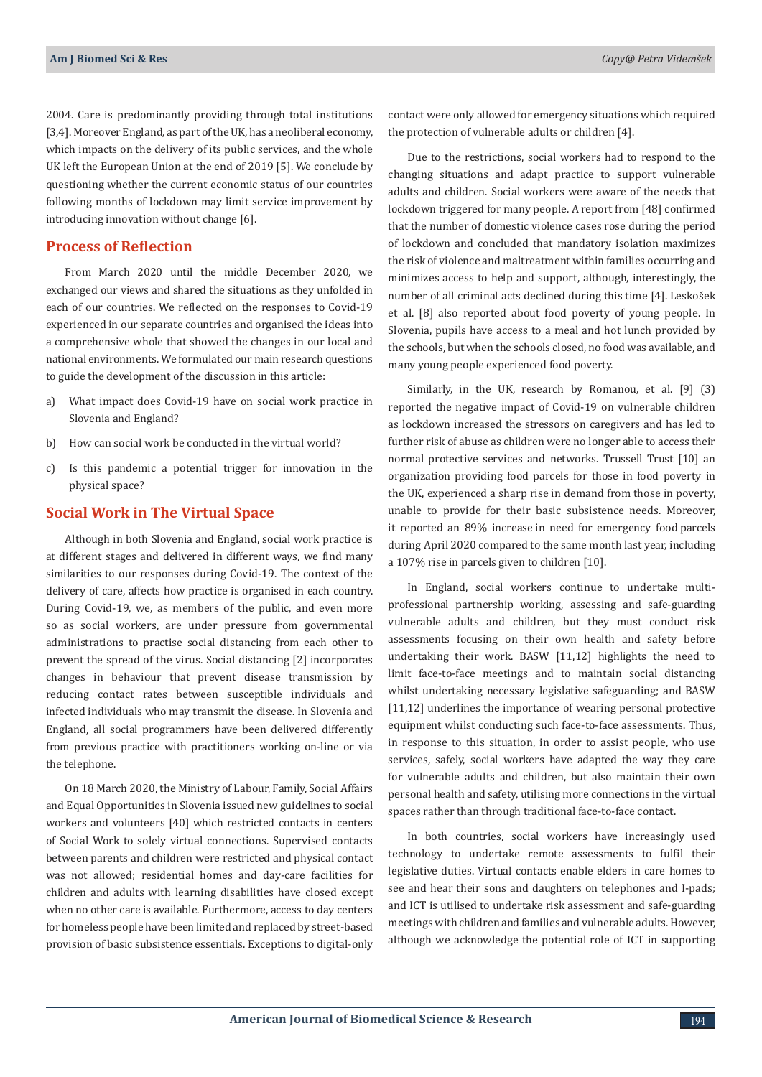2004. Care is predominantly providing through total institutions [3,4]. Moreover England, as part of the UK, has a neoliberal economy, which impacts on the delivery of its public services, and the whole UK left the European Union at the end of 2019 [5]. We conclude by questioning whether the current economic status of our countries following months of lockdown may limit service improvement by introducing innovation without change [6].

## **Process of Reflection**

From March 2020 until the middle December 2020, we exchanged our views and shared the situations as they unfolded in each of our countries. We reflected on the responses to Covid-19 experienced in our separate countries and organised the ideas into a comprehensive whole that showed the changes in our local and national environments. We formulated our main research questions to guide the development of the discussion in this article:

- a) What impact does Covid-19 have on social work practice in Slovenia and England?
- b) How can social work be conducted in the virtual world?
- c) Is this pandemic a potential trigger for innovation in the physical space?

#### **Social Work in The Virtual Space**

Although in both Slovenia and England, social work practice is at different stages and delivered in different ways, we find many similarities to our responses during Covid-19. The context of the delivery of care, affects how practice is organised in each country. During Covid-19, we, as members of the public, and even more so as social workers, are under pressure from governmental administrations to practise social distancing from each other to prevent the spread of the virus. Social distancing [2] incorporates changes in behaviour that prevent disease transmission by reducing contact rates between susceptible individuals and infected individuals who may transmit the disease. In Slovenia and England, all social programmers have been delivered differently from previous practice with practitioners working on-line or via the telephone.

On 18 March 2020, the Ministry of Labour, Family, Social Affairs and Equal Opportunities in Slovenia issued new guidelines to social workers and volunteers [40] which restricted contacts in centers of Social Work to solely virtual connections. Supervised contacts between parents and children were restricted and physical contact was not allowed; residential homes and day-care facilities for children and adults with learning disabilities have closed except when no other care is available. Furthermore, access to day centers for homeless people have been limited and replaced by street-based provision of basic subsistence essentials. Exceptions to digital-only

contact were only allowed for emergency situations which required the protection of vulnerable adults or children [4].

Due to the restrictions, social workers had to respond to the changing situations and adapt practice to support vulnerable adults and children. Social workers were aware of the needs that lockdown triggered for many people. A report from [48] confirmed that the number of domestic violence cases rose during the period of lockdown and concluded that mandatory isolation maximizes the risk of violence and maltreatment within families occurring and minimizes access to help and support, although, interestingly, the number of all criminal acts declined during this time [4]. Leskošek et al. [8] also reported about food poverty of young people. In Slovenia, pupils have access to a meal and hot lunch provided by the schools, but when the schools closed, no food was available, and many young people experienced food poverty.

Similarly, in the UK, research by Romanou, et al. [9] (3) reported the negative impact of Covid-19 on vulnerable children as lockdown increased the stressors on caregivers and has led to further risk of abuse as children were no longer able to access their normal protective services and networks. Trussell Trust [10] an organization providing food parcels for those in food poverty in the UK, experienced a sharp rise in demand from those in poverty, unable to provide for their basic subsistence needs. Moreover, it reported an 89% increase in need for emergency food parcels during April 2020 compared to the same month last year, including a 107% rise in parcels given to children [10].

In England, social workers continue to undertake multiprofessional partnership working, assessing and safe-guarding vulnerable adults and children, but they must conduct risk assessments focusing on their own health and safety before undertaking their work. BASW [11,12] highlights the need to limit face-to-face meetings and to maintain social distancing whilst undertaking necessary legislative safeguarding; and BASW [11,12] underlines the importance of wearing personal protective equipment whilst conducting such face-to-face assessments. Thus, in response to this situation, in order to assist people, who use services, safely, social workers have adapted the way they care for vulnerable adults and children, but also maintain their own personal health and safety, utilising more connections in the virtual spaces rather than through traditional face-to-face contact.

In both countries, social workers have increasingly used technology to undertake remote assessments to fulfil their legislative duties. Virtual contacts enable elders in care homes to see and hear their sons and daughters on telephones and I-pads; and ICT is utilised to undertake risk assessment and safe-guarding meetings with children and families and vulnerable adults. However, although we acknowledge the potential role of ICT in supporting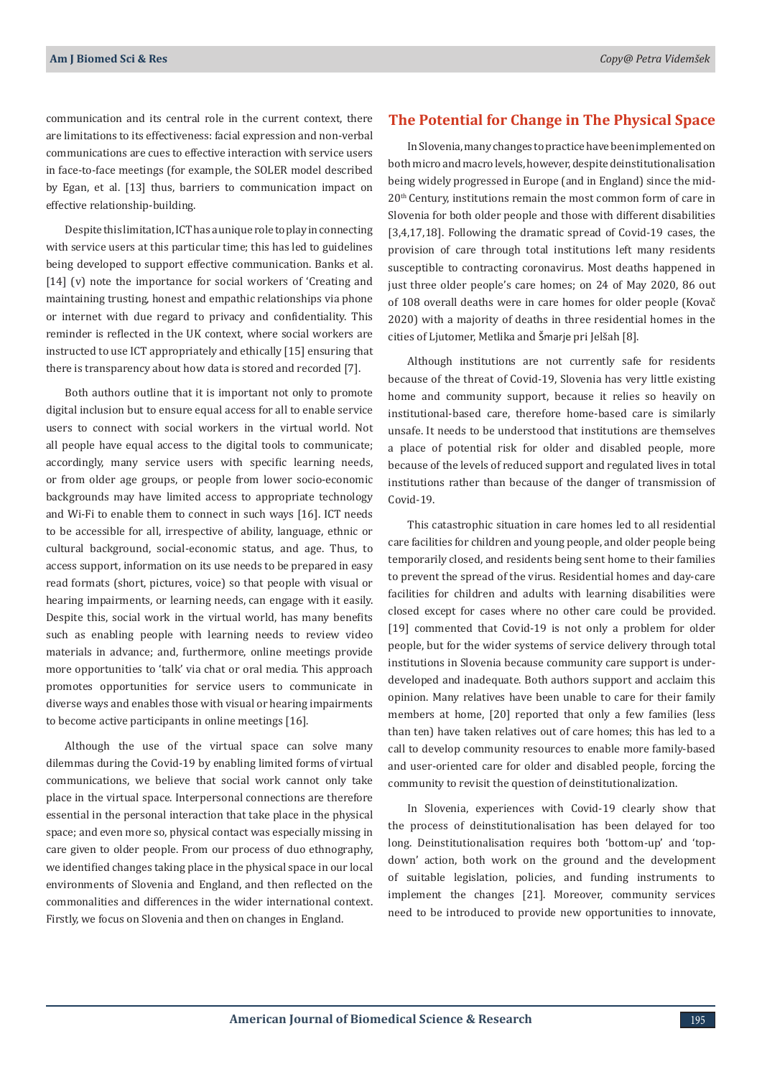communication and its central role in the current context, there are limitations to its effectiveness: facial expression and non-verbal communications are cues to effective interaction with service users in face-to-face meetings (for example, the SOLER model described by Egan, et al. [13] thus, barriers to communication impact on effective relationship-building.

Despite this limitation, ICT has a unique role to play in connecting with service users at this particular time; this has led to guidelines being developed to support effective communication. Banks et al. [14] (v) note the importance for social workers of 'Creating and maintaining trusting, honest and empathic relationships via phone or internet with due regard to privacy and confidentiality. This reminder is reflected in the UK context, where social workers are instructed to use ICT appropriately and ethically [15] ensuring that there is transparency about how data is stored and recorded [7].

Both authors outline that it is important not only to promote digital inclusion but to ensure equal access for all to enable service users to connect with social workers in the virtual world. Not all people have equal access to the digital tools to communicate; accordingly, many service users with specific learning needs, or from older age groups, or people from lower socio-economic backgrounds may have limited access to appropriate technology and Wi-Fi to enable them to connect in such ways [16]. ICT needs to be accessible for all, irrespective of ability, language, ethnic or cultural background, social-economic status, and age. Thus, to access support, information on its use needs to be prepared in easy read formats (short, pictures, voice) so that people with visual or hearing impairments, or learning needs, can engage with it easily. Despite this, social work in the virtual world, has many benefits such as enabling people with learning needs to review video materials in advance; and, furthermore, online meetings provide more opportunities to 'talk' via chat or oral media. This approach promotes opportunities for service users to communicate in diverse ways and enables those with visual or hearing impairments to become active participants in online meetings [16].

Although the use of the virtual space can solve many dilemmas during the Covid-19 by enabling limited forms of virtual communications, we believe that social work cannot only take place in the virtual space. Interpersonal connections are therefore essential in the personal interaction that take place in the physical space; and even more so, physical contact was especially missing in care given to older people. From our process of duo ethnography, we identified changes taking place in the physical space in our local environments of Slovenia and England, and then reflected on the commonalities and differences in the wider international context. Firstly, we focus on Slovenia and then on changes in England.

# **The Potential for Change in The Physical Space**

In Slovenia, many changes to practice have been implemented on both micro and macro levels, however, despite deinstitutionalisation being widely progressed in Europe (and in England) since the mid-20th Century, institutions remain the most common form of care in Slovenia for both older people and those with different disabilities [3,4,17,18]. Following the dramatic spread of Covid-19 cases, the provision of care through total institutions left many residents susceptible to contracting coronavirus. Most deaths happened in just three older people's care homes; on 24 of May 2020, 86 out of 108 overall deaths were in care homes for older people (Kovač 2020) with a majority of deaths in three residential homes in the cities of Ljutomer, Metlika and Šmarje pri Jelšah [8].

Although institutions are not currently safe for residents because of the threat of Covid-19, Slovenia has very little existing home and community support, because it relies so heavily on institutional-based care, therefore home-based care is similarly unsafe. It needs to be understood that institutions are themselves a place of potential risk for older and disabled people, more because of the levels of reduced support and regulated lives in total institutions rather than because of the danger of transmission of Covid-19.

This catastrophic situation in care homes led to all residential care facilities for children and young people, and older people being temporarily closed, and residents being sent home to their families to prevent the spread of the virus. Residential homes and day-care facilities for children and adults with learning disabilities were closed except for cases where no other care could be provided. [19] commented that Covid-19 is not only a problem for older people, but for the wider systems of service delivery through total institutions in Slovenia because community care support is underdeveloped and inadequate. Both authors support and acclaim this opinion. Many relatives have been unable to care for their family members at home, [20] reported that only a few families (less than ten) have taken relatives out of care homes; this has led to a call to develop community resources to enable more family-based and user-oriented care for older and disabled people, forcing the community to revisit the question of deinstitutionalization.

In Slovenia, experiences with Covid-19 clearly show that the process of deinstitutionalisation has been delayed for too long. Deinstitutionalisation requires both 'bottom-up' and 'topdown' action, both work on the ground and the development of suitable legislation, policies, and funding instruments to implement the changes [21]. Moreover, community services need to be introduced to provide new opportunities to innovate,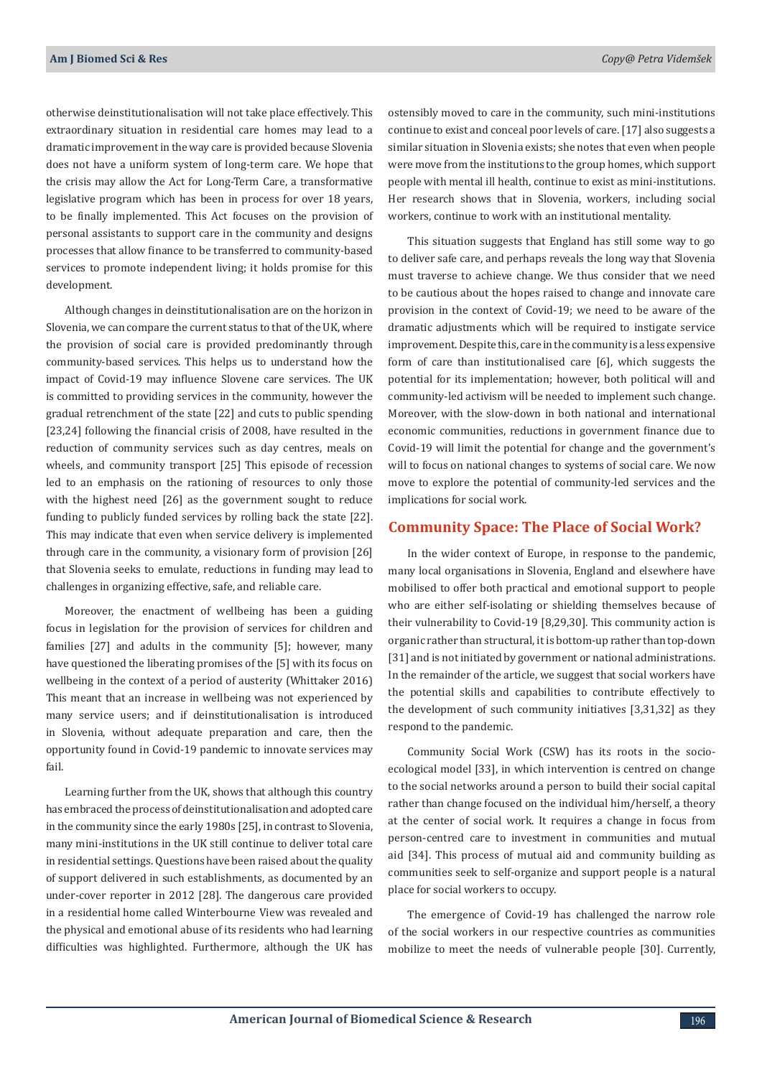otherwise deinstitutionalisation will not take place effectively. This extraordinary situation in residential care homes may lead to a dramatic improvement in the way care is provided because Slovenia does not have a uniform system of long-term care. We hope that the crisis may allow the Act for Long-Term Care, a transformative legislative program which has been in process for over 18 years, to be finally implemented. This Act focuses on the provision of personal assistants to support care in the community and designs processes that allow finance to be transferred to community-based services to promote independent living; it holds promise for this development.

Although changes in deinstitutionalisation are on the horizon in Slovenia, we can compare the current status to that of the UK, where the provision of social care is provided predominantly through community-based services. This helps us to understand how the impact of Covid-19 may influence Slovene care services. The UK is committed to providing services in the community, however the gradual retrenchment of the state [22] and cuts to public spending [23,24] following the financial crisis of 2008, have resulted in the reduction of community services such as day centres, meals on wheels, and community transport [25] This episode of recession led to an emphasis on the rationing of resources to only those with the highest need [26] as the government sought to reduce funding to publicly funded services by rolling back the state [22]. This may indicate that even when service delivery is implemented through care in the community, a visionary form of provision [26] that Slovenia seeks to emulate, reductions in funding may lead to challenges in organizing effective, safe, and reliable care.

Moreover, the enactment of wellbeing has been a guiding focus in legislation for the provision of services for children and families [27] and adults in the community [5]; however, many have questioned the liberating promises of the [5] with its focus on wellbeing in the context of a period of austerity (Whittaker 2016) This meant that an increase in wellbeing was not experienced by many service users; and if deinstitutionalisation is introduced in Slovenia, without adequate preparation and care, then the opportunity found in Covid-19 pandemic to innovate services may fail.

Learning further from the UK, shows that although this country has embraced the process of deinstitutionalisation and adopted care in the community since the early 1980s [25], in contrast to Slovenia, many mini-institutions in the UK still continue to deliver total care in residential settings. Questions have been raised about the quality of support delivered in such establishments, as documented by an under-cover reporter in 2012 [28]. The dangerous care provided in a residential home called Winterbourne View was revealed and the physical and emotional abuse of its residents who had learning difficulties was highlighted. Furthermore, although the UK has

ostensibly moved to care in the community, such mini-institutions continue to exist and conceal poor levels of care. [17] also suggests a similar situation in Slovenia exists; she notes that even when people were move from the institutions to the group homes, which support people with mental ill health, continue to exist as mini-institutions. Her research shows that in Slovenia, workers, including social workers, continue to work with an institutional mentality.

This situation suggests that England has still some way to go to deliver safe care, and perhaps reveals the long way that Slovenia must traverse to achieve change. We thus consider that we need to be cautious about the hopes raised to change and innovate care provision in the context of Covid-19; we need to be aware of the dramatic adjustments which will be required to instigate service improvement. Despite this, care in the community is a less expensive form of care than institutionalised care [6], which suggests the potential for its implementation; however, both political will and community-led activism will be needed to implement such change. Moreover, with the slow-down in both national and international economic communities, reductions in government finance due to Covid-19 will limit the potential for change and the government's will to focus on national changes to systems of social care. We now move to explore the potential of community-led services and the implications for social work.

#### **Community Space: The Place of Social Work?**

In the wider context of Europe, in response to the pandemic, many local organisations in Slovenia, England and elsewhere have mobilised to offer both practical and emotional support to people who are either self-isolating or shielding themselves because of their vulnerability to Covid-19 [8,29,30]. This community action is organic rather than structural, it is bottom-up rather than top-down [31] and is not initiated by government or national administrations. In the remainder of the article, we suggest that social workers have the potential skills and capabilities to contribute effectively to the development of such community initiatives [3,31,32] as they respond to the pandemic.

Community Social Work (CSW) has its roots in the socioecological model [33], in which intervention is centred on change to the social networks around a person to build their social capital rather than change focused on the individual him/herself, a theory at the center of social work. It requires a change in focus from person-centred care to investment in communities and mutual aid [34]. This process of mutual aid and community building as communities seek to self-organize and support people is a natural place for social workers to occupy.

The emergence of Covid-19 has challenged the narrow role of the social workers in our respective countries as communities mobilize to meet the needs of vulnerable people [30]. Currently,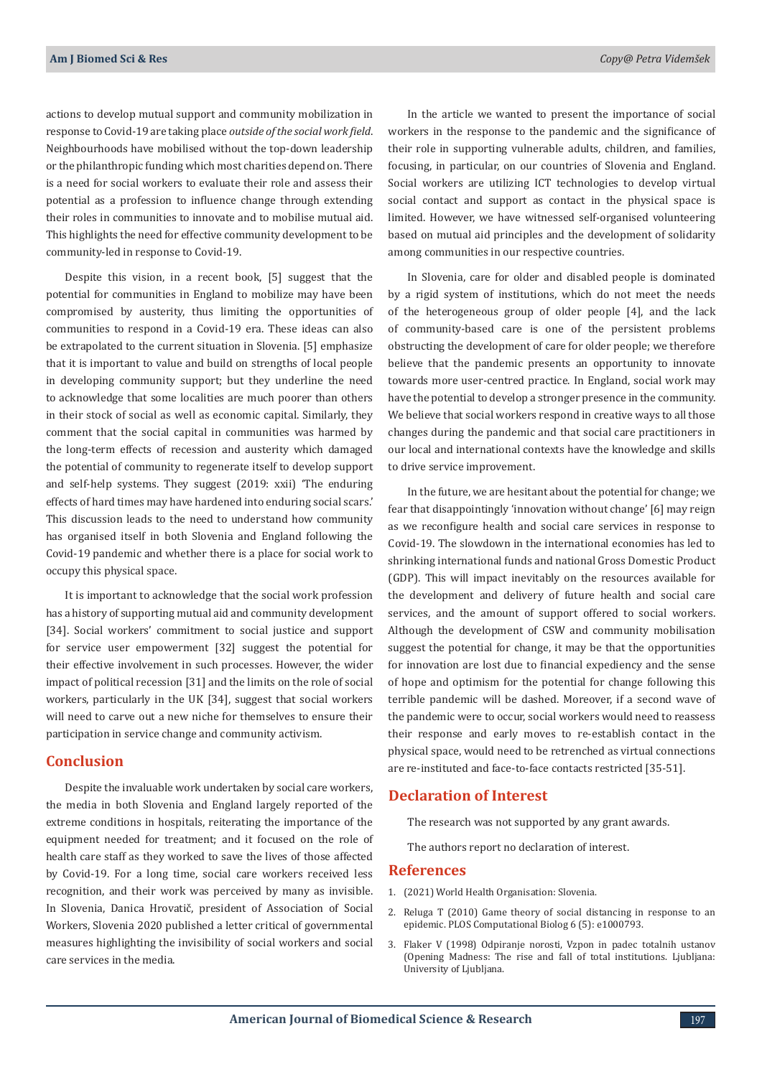actions to develop mutual support and community mobilization in response to Covid-19 are taking place *outside of the social work field*. Neighbourhoods have mobilised without the top-down leadership or the philanthropic funding which most charities depend on. There is a need for social workers to evaluate their role and assess their potential as a profession to influence change through extending their roles in communities to innovate and to mobilise mutual aid. This highlights the need for effective community development to be community-led in response to Covid-19.

Despite this vision, in a recent book, [5] suggest that the potential for communities in England to mobilize may have been compromised by austerity, thus limiting the opportunities of communities to respond in a Covid-19 era. These ideas can also be extrapolated to the current situation in Slovenia. [5] emphasize that it is important to value and build on strengths of local people in developing community support; but they underline the need to acknowledge that some localities are much poorer than others in their stock of social as well as economic capital. Similarly, they comment that the social capital in communities was harmed by the long-term effects of recession and austerity which damaged the potential of community to regenerate itself to develop support and self-help systems. They suggest (2019: xxii) 'The enduring effects of hard times may have hardened into enduring social scars.' This discussion leads to the need to understand how community has organised itself in both Slovenia and England following the Covid-19 pandemic and whether there is a place for social work to occupy this physical space.

It is important to acknowledge that the social work profession has a history of supporting mutual aid and community development [34]. Social workers' commitment to social justice and support for service user empowerment [32] suggest the potential for their effective involvement in such processes. However, the wider impact of political recession [31] and the limits on the role of social workers, particularly in the UK [34], suggest that social workers will need to carve out a new niche for themselves to ensure their participation in service change and community activism.

## **Conclusion**

Despite the invaluable work undertaken by social care workers, the media in both Slovenia and England largely reported of the extreme conditions in hospitals, reiterating the importance of the equipment needed for treatment; and it focused on the role of health care staff as they worked to save the lives of those affected by Covid-19. For a long time, social care workers received less recognition, and their work was perceived by many as invisible. In Slovenia, Danica Hrovatič, president of Association of Social Workers, Slovenia 2020 published a letter critical of governmental measures highlighting the invisibility of social workers and social care services in the media.

In the article we wanted to present the importance of social workers in the response to the pandemic and the significance of their role in supporting vulnerable adults, children, and families, focusing, in particular, on our countries of Slovenia and England. Social workers are utilizing ICT technologies to develop virtual social contact and support as contact in the physical space is limited. However, we have witnessed self-organised volunteering based on mutual aid principles and the development of solidarity among communities in our respective countries.

In Slovenia, care for older and disabled people is dominated by a rigid system of institutions, which do not meet the needs of the heterogeneous group of older people [4], and the lack of community-based care is one of the persistent problems obstructing the development of care for older people; we therefore believe that the pandemic presents an opportunity to innovate towards more user-centred practice. In England, social work may have the potential to develop a stronger presence in the community. We believe that social workers respond in creative ways to all those changes during the pandemic and that social care practitioners in our local and international contexts have the knowledge and skills to drive service improvement.

In the future, we are hesitant about the potential for change; we fear that disappointingly 'innovation without change' [6] may reign as we reconfigure health and social care services in response to Covid-19. The slowdown in the international economies has led to shrinking international funds and national Gross Domestic Product (GDP). This will impact inevitably on the resources available for the development and delivery of future health and social care services, and the amount of support offered to social workers. Although the development of CSW and community mobilisation suggest the potential for change, it may be that the opportunities for innovation are lost due to financial expediency and the sense of hope and optimism for the potential for change following this terrible pandemic will be dashed. Moreover, if a second wave of the pandemic were to occur, social workers would need to reassess their response and early moves to re-establish contact in the physical space, would need to be retrenched as virtual connections are re-instituted and face-to-face contacts restricted [35-51].

#### **Declaration of Interest**

The research was not supported by any grant awards.

The authors report no declaration of interest.

#### **References**

- 1. [\(2021\) World Health Organisation: Slovenia.](https://covid19.who.int/region/euro/country/si)
- 2. [Reluga T \(2010\) Game theory of social distancing in response to an](https://journals.plos.org/ploscompbiol/article?id=10.1371/journal.pcbi.1000793) [epidemic. PLOS Computational Biolog 6 \(5\): e1000793.](https://journals.plos.org/ploscompbiol/article?id=10.1371/journal.pcbi.1000793)
- 3. Flaker V (1998) Odpiranje norosti, Vzpon in padec totalnih ustanov (Opening Madness: The rise and fall of total institutions. Ljubljana: University of Ljubljana.